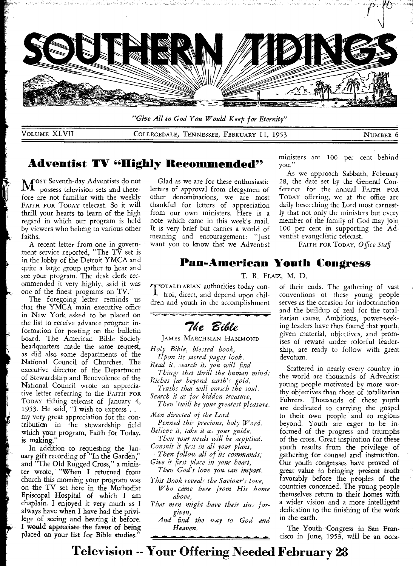

*"Give All to God You Would Keep for Eternity"* 

VOLUME XLVII COLLEGEDALE, TENNESSEE, FEBRUARY 11, 1953 NUMBER 6

### **Adventist TV "Highly Recommended"**

M<sup>ost Seventh-day Adventists do not</sup><br>M<sup>o</sup>possess television sets and therepossess television sets and therefore are not familiar with the weekly FAITH FOR TODAY telecast. So it will thrill your hearts to learn of the high regard in which our program is held by viewers who belong to various other faiths.

A recent letter from one in government service reported, "The TV set is in the lobby of the Detroit YMCA and quite a large group gather to hear and see your program. The desk clerk recommended it very highly, said it was one of the finest programs on TV."

The foregoing letter reminds us that the YMCA main executive office in New York asked to be placed on the list to receive advance program information for posting on the bulletin board. The American Bible Society headquarters made the same request, as did also some departments of the National Council of Churches. The executive director of the Department of Stewardship and Benevolence of the National Council wrote an appreciative letter referring to the FAITH FOR TODAY tithing telecast of January 4, 1953. He said, "I wish to express... my very great appreciation for the contribution in the stewardship field which your program, Faith for Today, is making."

In addition to requesting the January gift recording of "In the Garden," and "The Old Rugged Cross," a minister wrote, "When I returned from church this morning your program was on the TV set here in the Methodist Episcopal Hospital of which I am chaplain. I enjoyed it very much as I always have when I have had the privilege of seeing and hearing it before. I would appreciate the favor of being placed on your list for Bible studies."

Glad as we are for these enthusiastic letters of approval from clergymen of other denominations, we are most thankful for letters of appreciation from our own ministers. Here is a note which came in this week's mail. It is very brief but carries a world of meaning and encouragement: "Just want you to know that we Adventist

ministers are 100 per cent behind you."

As we approach Sabbath, February 28, the date set by the General Conference for the annual FAITH FOR TODAY offering, we at the office are daily beseeching the Lord most earnestly that not only the ministers but every member of the family of God may join 100 per cent in supporting the Adventist evangelistic telecast.

FAITH FOR TODAY, *Office Staff* 

# **Pan-American Youth Congress**

T. R. FLAIZ, M. D.

TOTALITARIAN authorities today con- $\perp$  trol, direct, and depend upon children and youth in the accomplishment

**7**ke Bible

JAMES MARCHMAN HAMMOND

*Holy Bible, blessed book,* 

*Upon its sacred pages look.* 

*Read it, search it, you will find Things that thrill the human mind;* 

*Riches far beyond earth's gold,* 

*Truths that will enrich the soul. Search it as for hidden treasure,* 

*Then 'twill be your greatest pleasure.* 

*Men directed of the Lord* 

*Penned this precious, holy Word. Believe it, take it as your guide,* 

*Then your needs will be supplied. Consult it first in all your plans,* 

*Then follow all of its commands; Give it first place in your heart,* 

*Then God's love you can impart.* 

*This Book reveals the Saviour's love,* 

*Who came here from His home above,* 

*That men might have their sins forgiven,* 

*And find the way to God and Heaven.* 

of their ends. The gathering of vast conventions of these young people serves as the occasion for indoctrination and the buildup of zeal for the totalitarian cause. Ambitious, power-seeking leaders have thus found that youth, given material, objectives, and promises of reward under colorful leadership, are ready to follow with great devotion.

Scattered in nearly every country in the world are thousands of Adventist young people motivated by more worthy objectives than those of totalitarian Fuhrers. Thousands of these youth are dedicated to carrying the gospel to their own people and to regions beyond. Youth are eager to be informed of the progress and triumphs of the cross. Great inspiration for these youth results from the privilege of gathering for counsel and instruction. Our youth congresses have proved of great value in bringing present truth favorably before the peoples of the countries concerned. The young people themselves return to their homes with a wider vision and a more intelligent dedication to the finishing of the work in the earth.

The Youth Congress in San Francisco in June, 1953, will be an occa-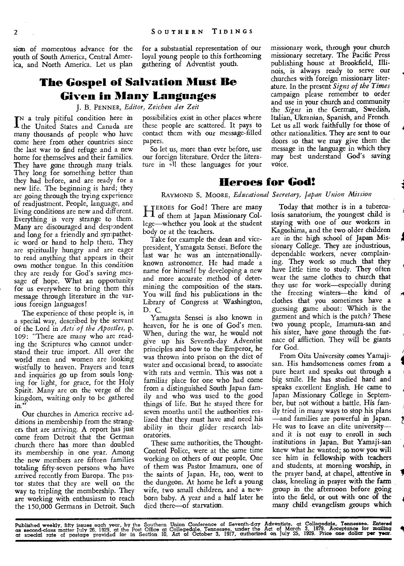sign of momentous advance for the for a substantial representation of our youth of South America, Central Amer-<br>ica, and North America. Let us plan gathering of Adventist youth. ica, and North America. Let us plan

# **The Gospel of Salvation Must Be Given in Many Languages**

J. B. PENNER, *Editor, Zeichen der Zeit* 

IN a truly pitiful condition here in<br>The United States and Canada are the United States and Canada are many thousands of people who have come here from other countries since the last war to find refuge and a new home for themselves and their families. They have gone through many trials. They long for something better than they had before, and are ready for a new life. The beginning is hard; they arc going through the trying experience of readjustment. People, language, and living conditions are new and different. Everything is very strange to them. Many are discouraged and despondent and long for a friendly and sympathetic word or hand to help them. They are spiritually hungry and are eager to read anything that appears in their own mother tongue. In this condition they are ready for God's saving message of hope. What an opportunity for us everywhere to bring them this message through literature in the various foreign languages!

The experience of these people is, in a special way, described by the servant of the Lord in *Acts of the Apostles,* p. 109: "There are many who are reading the Scriptures who cannot understand their true import. All over the world men and women are looking wistfully to heaven. Prayers and tears and inquiries go up from souls longing for light, for grace, for the Holy Spirit. Many are on the verge of the kingdom, waiting only to be gathered in."

Our churches in America receive additions in membership from the strangers that are arriving. A report has just come from Detroit that the German church there has more than doubled its membership in one year. Among the new members are fifteen families totaling fifty-seven persons who have arrived recently from Europa. The pastor states that they are well on the way to tripling the membership. They are working with enthusiasm to reach the 150,000 Germans in Detroit. Such possibilities exist in other places where these people are scattered. It pays to contact them with our message-filled papers.

So let us, more than ever before, use our foreign literature. Order the literature in <sup>11</sup>l these languages for your

### **Heroes for God!**

voice.

RAYMOND S. MOORE, *Educational Secretary, Japan Union Mission* 

HEROES for God! There are many<br>
I dof them at Japan Missionary Colof them at Japan Missionary College—whether you look at the student body or at the teachers.

Take for example the dean and vicepresident, Yamagata Sensei. Before the last war he was an internationallyknown astronomer. He had made a name for himself by developing a new and more accurate method of determining the composition of the stars. You will find his publications in the Library of Congress at Washington, D. C.

Yamagata Sensei is also known in heaven, for he is one of God's men. When, during the war, he would not give up his Seventh-day Adventist principles and bow to the Emperor, he was thrown into prison on the diet of water and occasional bread, to associate with rats and vermin. This was not a familiar place for one who had come from a distinguished South Japan family and who was used to the good things of life. But he stayed there for seven months until the authorities realized that they must have and need his ability in their glider research laboratories.

These same authorities, the Thought-Control Police, were at the same time working on others of our people. One of them was Pastor Imamura, one of the saints of Japan. He, too, went to the dungeon. At home he left a young wife, two small children, and a newborn baby. A year and a half later he died there—of starvation.

Today that mother is in a tuberculosis sanatorium, the youngest child is staying with one of our workers in Kagoshima, and the two older children are in the high school of Japan Missionary College. They are industrious, dependable workers, never complaining. They work so much that they have little time to study. They often wear the same clothes to church that they use for work—especially during the freezing winters—the kind of clothes that you sometimes have a guessing game about: Which is the garment and which is the patch? These two young people, Imamura-san and his sister, have gone through the furnace of affliction. They will be giants for God.

missionary work, through your church missionary secretary. The Pacific Press publishing house at Brookfield, Illinois, is always ready to serve our churches with foreign missionary literature. In the present *Signs of the Times*  campaign please remember to order and use in your church and community the *Signs* in the German, Swedish, Italian, Ukranian, Spanish, and French. Let us all work faithfully for those of other nationalities. They are sent to our doors so that we may give them the message in the language in which they may best understand God's saving

From Oita University comes Yamajisan. His handsomeness comes from a pure heart and speaks out through a big smile. He has studied hard and speaks excellent English. He came to Japan Missionary College in September, but not without a battle. His family tried in many ways to stop his plans —and families are powerful in Japan. He was to leave an elite university and it is not easy to enroll in such institutions in Japan. But Yamaji-san knew what he wanted; so now you will see him in fellowship with teachers and students, at morning worship, in the prayer band, at chapel, attentive in class, kneeling in prayer with the farm group in the afternoon before going into the field, or out with one of the many child evangelism groups which

I

Published weekly, fifty issues each year, by the Southern Union Conference of Seventh-day Adventists, at Collegedale, Tennessee. Entered<br>as second-class matter July 26, 1929, at the Post Office at Collegedale, Tennessee, u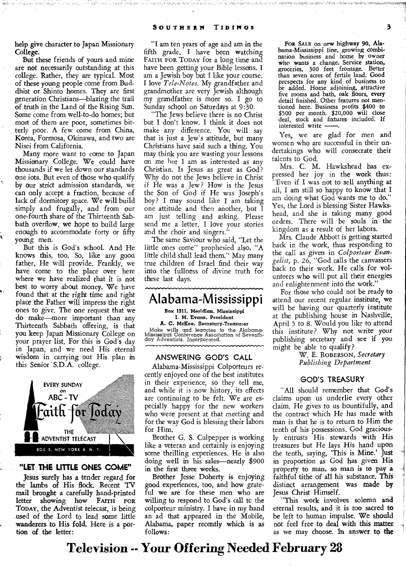help give character to Japan Missionary College.

But these friends of yours and mine are not necessarily outstanding at this college. Rather, they are typical. Most of these young people come from Buddhist or Shinto homes. They are first generation Christians—blazing the trail of truth in the Land of the Rising Sun. Some come from well-to-do homes; but most of them are poor, sometimes bitterly poor. A few come from China, Korea, Formosa, Okinawa, and two are Nisei from California.

Many more want to come to Japan Missionary College. We could have thousands if we let down our standards one iota. But even of those who qualify by our strict admission standards, we can only accept a fraction, because of lack of dormitory space. We will build simply and frugally, and from our one-fourth share of the Thirteenth Sabbath overflow, we hope to build large enough to accommodate forty or fifty young men.

But this is God's school. And He knows this, too. So, like any good father, He will provide. Frankly, we have come to the place over here where we have realized that it is not best to worry about money. We have found that at the right time and right place the Father will impress the right ones to give. The one request that we do make—more important than any Thirteenth Sabbath offering, is that you keep Japan Missionary College on your prayer list. For this is God's day in Japan, and we need His eternal wisdom in carrying out His plan in this Senior' S.D.A. college.



#### **"LET: THE-LITTLE ONES Cam"**

Jesus surely has a tender regard for the lambs of His flock. Recent TV mail brought a carefully hand-printed<br>letter showing how FAITH FOR letter showing how **TODAY,** the Adventist telecast, is being ,used of the Lord to lead some little wanderers to His fold. Here is a portion of the letter:

"I am ten years of age and am in the fifth grade. I have been watching FAITH FOR TODAY for a long time and have been getting your Bible lessons. I am a Jewish boy but I like your course. I love *Tele-Notes.* My grandfather and grandmother are very Jewish although my grandfather is more so. I go to Sunday school on Saturdays at 9:30.

"The Jews believe there is no Christ but I don't know. I think it does not make any difference. You will say that is just a Jew's attitude, but many Christians have said such a thing. You may think you are wasting your lessons on me hut I am as interested as any Christian. Is Jesus as great as God? Why do not the Jews believe in Christ if He was a Jew? How is the Jesus the Son of God if He was Joseph's boy? I may sound like I am taking one attitude and then another, but I am just telling and asking. Please send me a letter. I love your stories and the choir and singers."

The same Saviour who said, "Let the little ones come" prophesied also, "A little child shall lead them." May many true children of Israel find their way into the fullness of divine truth for these last days.



Brother G. S. Culpepper is working like a veteran and certainly is enjoying some thrilling experiences. He is also doing well in his sales—nearly \$900 in the first three weeks.

Brother Jesse Doherty is enjoying good experiences, too, and how grateful we are for these men who are willing to respond to God's call to the colporteur ministry. I have in my hand an ad that appeared in the Mobile, Alabama, paper recently which is as follows:

FOR SALE on new highway 90, Alabama-Mississippi line, growing combi-nation business and home by owner who wants a change. Service station, groceries, 300 feet frontage. Better than seven acres of fertile land. Good prcspects for any kind of business to be added. Home adjoining, attractive five rooms and bath, oak floors, every detail finished. Other features not mentioned here. Business profits \$400 to \$500 per month. \$20,000 will close deal, stock and fixtures included. If interested write -

Yes, we are glad for men and women who are successful in their undertakings who will consecrate their talents to God.

Mrs. C. M. Hawkshead has expressed her joy in the work thus: Even if I was not to sell anything at all, I am still so happy to know that I am doing what God wants me to do." Yes, the Lord is blessing Sister Hawkshead, and she is taking many good orders. There will be souls in the kingdom as a result of her labors.

Mrs. Claude Abbott is getting started back in the work, thus responding to the call as given in *Colporteur Evangelist,* p. 26, "God calls the canvassers back to their work. He calls for volunteers who will put all their energies and enlightenment into the work."

For those who could not be ready to attend our recent regular institute, we will be having our quarterly institute at the publishing house in Nashville, April 5 to 8. Would you like to attend this institute? Why not write your publishing secretary and see if you might be able to qualify?

> W. E. ROBERSON, *Secretary Publishing Department*

#### **GOD'S TREASURY**

"All should remember that God's claims upon us underlie every other claim. He gives to us bountifully, and the contract which He has made with man is that he is to return to Him the tenth of his possessions. God graciously entrusts His stewards with His treasures but He lays His hand upon the tenth, saying, 'This is Mine.' Just in proportion as God has given His property to man, so man is to pay a faithful tithe of all his substance. This distinct arrangement was made **by**  Jesus Christ Himself.

"This work involves solemn and eternal results, and it is too sacred to be left to human impulse. We should not feel free to deal with this matter as we may choose. In answer **to the**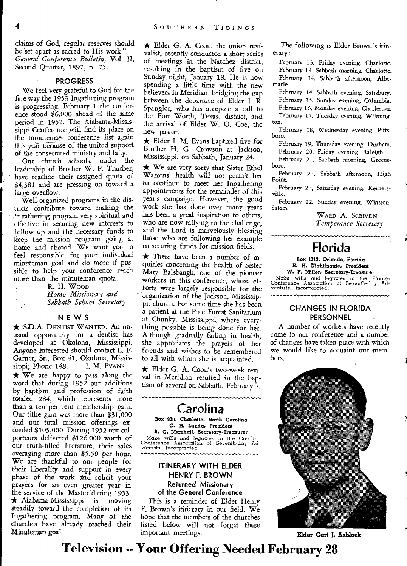claims of *God, regular* reserves should be set apart as sacred to His work."— *General Conference Bulletin,* Vol. II, Second Quarter, 1897, p. 75.

#### **PROGRESS**

We feel very grateful to God for the fine way the 1953 Ingathering program is progressing. February 1 the conference stood \$6,000 ahead of the same period in 1952. The Aiabama-Mississippi Conference will find its place on the minutema7- conference list again this  $\sqrt{x}$  because of the united support of the consecrated ministry and laity.

Our church schools, under the leadership of Brother W. P. Thurber, have reached their assigned quota of \$4,381 and are pressing on toward a large overflow.

Well-organized programs in the districts contribute toward making the **T.'** gathering program very spiritual and effe:-tive in securing new interests to follow up and the necessary funds to keep the mission program going at home and abroad. We want you to feel responsible for your individual minuteman goal and do more if possible to help your conference reach more than the minuteman quota.

R. H. WooD *Home Missionary and Sabbath School Secretary* 

#### **NEWS**

**\* S.D.A. DENTIST WANTED:** An unusual opportunity for a dentist has developed at Okolona, Mississippi. Anyone interested should contact L. F. Garner, Sr., Box 41, Okolona, Missis-<br>sippi; Phone 148. I. M. Evans sippi; Phone 148.

\* We are happy to pass along the word that during 1952 our additions by baptism and profession of faith totaled 284, which represents more than a ten per cent membership gain. Our tithe gain was more than \$31,000 and our total mission offerings exceeded \$105,000. During 1952 our colporteurs delivered \$126,000 worth of our truth-filled literature, their sales *averaging* more than \$5.50 per hour. We are thankful to our people for their liberality and support in every phase of the work and solicit your prayers for an even greater year in the service of the Master during 1953  $\star$  Alabama-Mississippi is moving steadily toward the completion of its Ingathering program. Many of the churches have already reached their Minuteman goal.

 $\star$  Elder G. A. Coon, the union revivalist, recently conducted a short series of meetings in the Natchez district, resulting in the baptism of five on Sunday night, January 18. He is now spending a little time with the new believers in Meridian, bridging the gap between the departure of Elder J. R. Spangler, who has accepted a call to the Fort Worth, Texas, district, and the arrival of Elder W. 0. Coe, the new pastor.

 $\star$  Elder I. M. Evans baptized five for Brother H. G. Crowson at Jackson, Mississippi, on Sabbath, January 24.

 $\star$  We are very sorry that Sister Ethel *Warrens'* health will not permit her to continue to meet her Ingathering appointments for the remainder of this year's campaign. However, the good work she has done over many years has been a great inspiration to others, who are now rallying to the challenge, and the Lord is marvelously blessing those who are following her example in securing funds for mission fields.

 $\star$  There have been a number of inquiries concerning the health of Sister Mary Balsbaugh, one of the pioneer workers in this conference, whose efforts were largely responsible for the organization of the Jackson, Mississippi, church. For some time she has been a patient at the Pine Forest Sanitarium at Chunky, Mississippi, where everything possible is being done for her. Although gradually failing in health, she appreciates the prayers of her *friends* and wishes to be remembered to all with whom she is acquainted.

\* Elder G. A. Coon's two-week revival in Meridian resulted in the baptism of several on Sabbath, February 7.

## **Carolina**

**Box 930. Charlotte. North Carolina C. H. Lauda, President B. C. Marshall, Secretary-Treasurer**  Make wills and legacies to the Carolina Conference Association of Seventh-day Ad-ventists, Incorporated.

### **ITINERARY WITH ELDER HENRY F. BROWN Returned Missionary of the General Conference**

This is a reminder of Elder Henry F. Brown's itinerary in our field. We hope that the members of the churches listed below will not forget these important meetings.

The following is Elder Brown's itinerary:

February 13, Friday evening, Charlotte. February 14, Sabbath morning, Charlotte. February 14, Sabbath afternoon, Albemarle.

February 14, Sabbath evening, Salisbury. February 15, Sunday evening, Columbia. February 16, Monday evening, Charleston. February 17, Tuesday evening, Wilmington.

February 18, Wednesday evening, Pittsborn.

February 19, Thursday evening. Durham.

February 20, Friday evening, Raleigh. February 21, Sabbath morning, Greensboro.

February 21, Sabba<sup>t</sup>h afternoon, High Point.

February 21, Saturday evening, Kernersville.

February 22, Sunday evening, Winston-Salem.

**WARD** A. **SCRIVEN**  *Temperance Secretary* 

# **Florida**

**Box 1313, Orlando, Florida R. H. Nightingale. President W. F. Miller, Secretary-Treasurer**  Make *wills* and legacies **to** the Florida Conference Association of Seventh-day Ad-ventists, Incorporated.

### **CHANGES** *IN* **FLORIDA PERSONNEL**

A number of workers have recently come to our conference and a number of changes have taken place with which we would like to acquaint our members.



**Elder Carl J. Ashiock**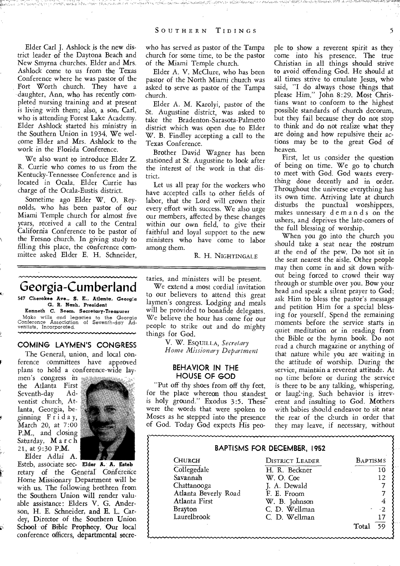Elder Carl J. Ashlock is the new district leader of the Daytona Beach and New Smyrna churches. Elder and Mrs. Ashlock come to us from the Texas Conference where he was pastor of the Fort Worth church. They have a daughter, Ann, who has recently completed nursing training and at present is living with them; also, a son, Carl, who is attending Forest Lake Academy. Elder Ashlock started his ministry in the Southern Union in 1934. We welcome Elder and Mrs. Ashlock to the work in the Florida Conference.

We also want to introduce Elder Z. R. Currie who comes to us from the Kentucky-Tennessee Conference and is located in Ocala. Elder Currie has charge of the Ocala-Eustis district.

Sometime ago Elder W. 0. Reynolds, who has been pastor of our Miami Temple church for almost five years, received a call to the Central California Conference to be pastor of the Fresno church. In giving study to filling this place, the conference committee asked Elder E. H. Schneider,

**Georgia-Cumberland** 

**547 Cherokee Ave., S. E., Atlanta. Georgia G. R. Nash, President** 

**Kenneth C. Seem, Secretary-Treasurer**  Make wills and legacies to the Georgia Conference Association of Seventh-day Ad-ventists, Incorporated.

#### **COMING LAYMEN'S CONGRESS**

The General, union, and local conference committees have approved plans to hold a conference-wide lay-

men's congress in the Atlanta First Seventh-day ventist church, Atlanta, Georgia, beginning  $\overline{F}$ riday, March 20, at 7:00 P.M., and closing Saturday, March 21, at 9:30 P.M. Elder Adlai A.

R1



Esteb, associate sec- **Elder A. A.** Esteb retary of the General Confererice Home Missionary Department will be with us. The following brethren from the Southern Union will render valuable assistance: Elders V. G. Anderson, H. E. Schneider, and E. L. Cardey, Director of the Southern Union School of Bible Prophecy. Our local conference officers, departmental secrewho has served as pastor of the Tampa church for some time, to be the pastor of the Miami Temple church.

Elder A. V. McClure, who has been pastor of the North Miami church was asked to serve as pastor of the Tampa church.

Elder A. M. Karolyi, pastor of the St. Augustine district, was asked to take the Bradenton-Sarasota-Palmetto district which was open due to Elder W. B. Findley accepting a call to the Texas Conference.

Brother David Wagner has been stationed at St. Augustine to look after the interest of the work in that district.

Let us all pray for the workers who have accepted calls to other fields of labor, that the Lord will crown their every effort with success. We also urge our members, affected by these changes within our own field, to give their faithful and loyal support to the new ministers who have come to labor among them.

R. H. **NIGHTINGALE** 

taries, and ministers will be present.

We extend a most cordial invitation to our believers to attend this great laymen's congress. Lodging and meals will be provided to bonafide delegates. We believe the hour has come for our people to strike out and do mighty things for God.

> V. W. **ESQUILLA,** *Secretary Home Missionary Department*

#### **BEHAVIOR IN THE HOUSE OF GOD**

"Put off thy shoes from off thy feet, for the place whereon thou standest is holy ground." Exodus 3:5. These were the words that were spoken to Moses as he stepped into the presence of God. Today God expects His peo-

ple to show a reverent spirit as they come into his presence. The true Christian in all things should strive to avoid offending God. He should at all times strive to emulate Jesus, who said, "I do always those things that please Him." John 8:29. Most Christians want to conform to the highest possible standards of church decorum, but they fail because they do not stop to think and do not realize what they are doing and how repulsive their actions may be to the great God of heaven.

First, let us consider the question of being on time. We go to church to meet with God. God wants everything done decently and in order. Throughout the universe everything has its own time. Arriving late at church disturbs the punctual worshippers, makes unnessary d e m a n d s on the ushers, and deprives the late-comers of the full blessing of worship.

When you go into the church you should take a seat near the rostrum at the end of the pew. Do not sit in the seat nearest the aisle. Other people may then come in and sit down without being forced to crowd their way through or stumble over you. Bow your head and speak a silent prayer to God; ask Him to bless the pastor's message and petition Him for a special blessing for yourself. Spend the remaining moments before the service starts in quiet meditation or in reading from the Bible or the hymn book. Do not read a church magazine or anything of that nature while you are waiting in the attitude of worship. During the service, maintain a reverent attitude. At no time before or during the service is there to be any talking, whispering, or laughing. Such behavior is irreverent and insulting to God. Mothers with babies should endeavor to sit near the rear of the church in order that they may leave, if necessary, without

### **BAPTISMS FOR DECEMBER, 1952**

| <b>CHURCH</b>        |
|----------------------|
| Collegedale          |
| Savannah             |
| Chattanooga          |
| Atlanta Beverly Road |
| Atlanta First        |
| Brayton              |
| Laurelbrook          |
|                      |

| Church               | <b>DISTRICT LEADER</b> | <b>BAPTISMS</b>          |
|----------------------|------------------------|--------------------------|
| Collegedale          | H. R. Beckner          | 10                       |
| Savannah             | W. O. Coe              | 12                       |
| Chattanooga          | J. A. Dewald           |                          |
| Atlanta Beverly Road | F. E. Froom            |                          |
| Atlanta First        | W. B. Johnson          | 4                        |
| Brayton              | C. D. Wellman          | $\sim$ -2                |
| Laurelbrook          | C. D. Wellman          | 17                       |
|                      |                        | $\overline{59}$<br>Total |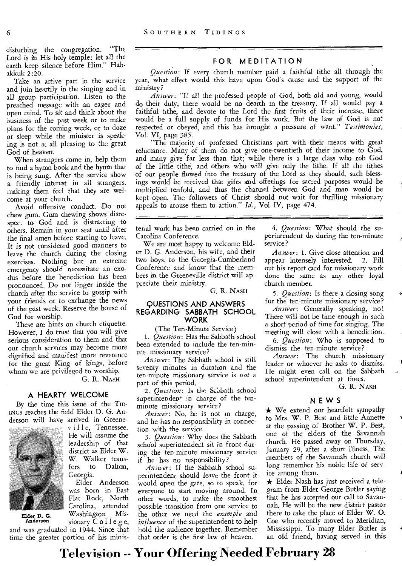disturbing the congregation. "The Lord is in His holy temple: let all the earth keep silence before Him." Habakkuk 2:20.

Take an active part in the service and join heartily in the singing and in all group participation. Listen to the preached message with an eager and open mind. To sit and think about the business of the past week or to make plans for the coming week, or to doze or sleep while the minister is speaking is not at all pleasing to the great God of heaven.

When strangers come in, help them to find a hymn book and the hymn that is being sung. After the service show a friendly interest in all strangers, making them feel that they are welcome at your church.

Avoid offensive conduct. Do not chew gum. Gum chewing shows disrespect to God and is distracting to others. Remain in your seat until after the final amen before starting to leave. It is not considered good manners to leave the church during the closing exercises. Nothing but an extreme emergency should necessitate an exodus before the benediction has been pronounced. Do not linger inside the church after the service to gossip with your friends or to exchange the news of the past week. Reserve the house of God for worship.

These are hints on church etiquette. However, I do trust that you will give serious consideration to them and that our church services may become more dignified and manifest more reverence for the great King of kings, before whom we are privileged to worship.

G. R. NASH

, vill e, Tennessee. He will assume the leadership of that district as Elder W. W. Walker trans-<br>fers to Dalton, to Dalton,

Elder Anderson was born in East Flat Rock, North Carolina, attended Washington *Mis-*

Georgia.

#### **A HEARTY WELCOME**

By the time this issue of the TID-INGS reaches the field Elder D. G. Anderson will have arrived in Greene-



Elder D. G. Anderson

*sionary* Colleg e, and was graduated in 1944. Since that time the greater portion of his minis-

#### **FOR MEDITATION**

*Question:* If every church member paid a faithful tithe all through the year, what effect would this have upon God's cause and the support of the ministry?

*Answer:* "If all the professed people of God, both old and young, would do their duty, there would be no dearth in the treasury. If all would pay a faithful tithe, and devote to the Lord the first fruits of their increase, there would be a full supply of funds for His work. But the law of God is not respected or obeyed, and this has brought a pressure of want." *Testimonies,*  Vol. VI, page 385.

"The majority of professed Christians part with their means with great reluctance. Many of them do not give one-twentieth of their income to God, and many give far less than that; while there is a large class who rob God of the little tithe, and others who will give only the tithe. If all the tithes of our people flowed into the treasury of the Lord as they should, such blessings would be received that gifts and offerings for sacred purposes would be multiplied tenfold, and thus the channel between God and man would be kept open. The followers of Christ should not wait for thrilling missionary appeals to arouse them to action." *Id.,* Vol IV, page 474.

terial work has been carried on in the Carolina Conference.

We are most happy to welcome Elder D. G. Anderson, his wife, and their two boys, to the Georgia-Cumberland Conference and know that the members in the Greeneville district will appreciate their ministry.

G. R. NASH

#### **QUESTIONS AND ANSWERS REGARDING SABBATH SCHOOL WORK**

(The Ten-Minute Service)

*1. Question:* Has the Sabbath school been extended to include the ten-minute missionary service?

*Answer:* The Sabbath school is still seventy minutes in duration and the ten-minute missionary service is *not* a part of this period.

2. *Question:* Is the Sabath school superintenden<sup>t</sup> in charge of the tenminute missionary service?

*Answer:* No, he is not in charge, and he has no responsibility in connection with the service.

*3. Question:* Why does the Sabbath school superintendent sit in front during the ten-minute missionary service if he has no responsibility?

*Answer:* If the Sabbath school superintendent should leave the front it would open the gate, so to speak, for everyone to start moving around. In other words, to make the smoothest possible transition from one service to the other we need the *example and influence* of the superintendent to help hold the audience together. Remember that order is the first law of heaven.

*4. Question:* 'What should the superintendent do during the ten-minute service?

*Answer:* 1. Give close attention and appear intensely interested. 2. Fill out his report card for missionary work done the same as any other loyal church member.

*5. Question:* Is there a closing song for the ten-minute missionary service?

*Answer:* Generally speaking, no! There will not be time enough in such a short period of time for singing. The meeting will close with a benediction. *6. Question:* Who is supposed to

dismiss the ten-minute service?

*Answer:* The church missionary leader or whoever he asks to dismiss. He might even call on the Sabbath school superintendent at times.

G. R. NASH

#### **NEWS**

 $\star$  We extend our heartfelt sympathy to Mrs. W. P. Best and little Annette at the passing of Brother W. P. Best, one of the elders of the Savannah church. He passed away on Thursday, January 29, after a short illness. The members of the Savannah church will long remember his noble life of service among them.

 $\star$  Elder Nash has just received a telegram from Elder George Butler saying that he has accepted our call to Savannah. He will be the new district pastor there to take the place of Elder W. 0. Coe who recently moved to Meridian, Mississippi. To many Elder Butler is an old friend, having served in this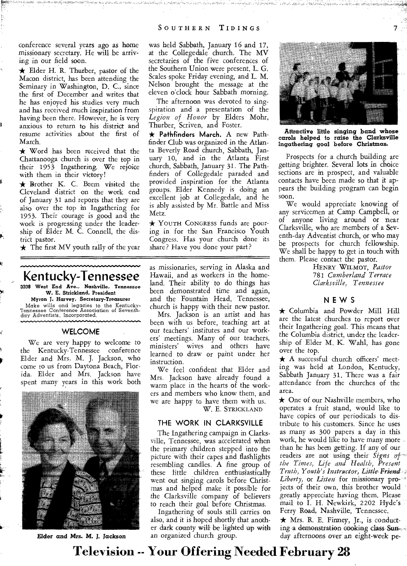.,A14,0, • A ' *tif* 

conference several years ago as home missionary secretary. He will be arriving in our field soon.

 $\star$  Elder H. R. Thurber, pastor of the Macon district, has been attending the Seminary in Washington, D. C., since the first of December and writes that he has enjoyed his studies very much and has received much inspiration from having been there. However, he is very anxious to return to his district and resume activities about the first of March.

 $\star$  Word has been received that the Chattanooga church is over the top in their 1953 Ingathering. We rejoice with them in their victory!

\* Brother K. C. Beem visited the Cleveland district on the week end of January 31 and reports that they are also over the top in Ingathering for 1953. Their courage is good and the work is progressing under the leadership of Elder M. C. Connell, the district pastor.

 $\star$  The first MV youth rally of the year

# **Kentucky-Tennessee**

**3208 West End Ave., Nashville, Tennessee W. E. Strickland, President** 

**Myron J. Harvey, Secretary-Treasurer**  Make wills and legacies to the Kentucky-Tennessee Conference Association of Seventhday Adventists, Incorporated.

#### **WELCOME**

We are very happy to welcome to the Kentucky-Tennessee conference Elder and Mrs. M. J. Jackson, who come to us from Daytona Beach, Florida. Elder and Mrs. Jackson have spent many years in this work both



*Elder* **and** *Mrs. M. J. Jackson* 

was held Sabbath, January 16 and 17, at the Collegedale church. The MV secretaries of the five conferences of the Southern Union were present. L. G. Scales spoke Friday evening, and L. M. Nelson brought the message at the eleven o'clock hour Sabbath morning.

The afternoon was devoted to singspiration and a presentation of the *Legion of Honor* by Elders Mohr, Thurber, Scriven, and Foster.

**\* Pathfinders March.** A new Pathfinder Club was organized in the Atlanta Beverly Road church, Sabbath, January 10, and in the Atlanta First church, Sabbath, January 31. The Pathfinders of Collegedale paraded and provided inspiration for the Atlanta groups. Elder Kennedy is doing an excellent job at Collegedale, and he is ably assisted by Mr. Battle and Miss Metz.

**\* YOUTH** CONGRESS funds are pouring in for the San Francisco Youth Congress. Has your church done its share? Have you done your part?

as missionaries, serving in Alaska and Hawaii, and as workers in the homeland. Their ability to do things has been demonstrated time and again, and the Fountain Head, Tennessee, church is happy with their new pastor.

Mrs. Jackson is an artist and has been with us before, teaching art at our teachers' *institutes* and our workers' meetings. Many of our teachers, ministers' wives and others have learned to draw or paint under her instruction.

We feel confident that Elder and Mrs. Jackson have already found a warm place in the hearts of the workers and members who know them, and we are happy to have them with us.

W. E. STRICKLAND

#### **THE WORK IN CLARKSVILLE**

The Ingathering campaign in Clarksville, Tennessee, was accelerated when the primary children stepped into the picture with their capes and flashlights resembling candles. A fine group of these little children enthusiastically went out singing carols before Christmas and helped make it possible for *the* Clarksville company of believers to reach their goal before Christmas.

Ingathering of souls still carries on also, and it is hoped shortly that another dark county will be lighted up with an organized church group.



*Attractive little* **singing band whose carols helped to raise the Clarksville Ingathering goal before Christmas.** 

Prospects for a church building are *getting* brighter. Several lots in choice sections are in prospect, and valuable contacts have been made so that it appears the building program can begin soon.

We would appreciate knowing of any servicemen at Camp Campbell, or of anyone living around or near Clarksville, who are members of a Seventh-day Adventist church, or who may be prospects for church fellowship. We shall be happy to get in touch with them. Please contact the pastor.

HENRY WILMOT, *Pastor*  781 *Cumberland Terrace Clarksville, Tennessee* 

#### **NEWS**

 $\star$  Columbia and Powder Mill Hill are the latest churches to report over their Ingathering goal. This means that the Columbia district, under the leadership of Elder M. K. Wahl, has gone over the top.

\* A successful church officers' meeting was held at London, Kentucky, Sabbath January 31. There was a fair attendance from the churches of the area.

 $\star$  One of our Nashville members, who operates a fruit stand, would like to have copies of our periodicals to distribute to his customers. Since he uses as many as 300 papers a day in this work, he would like to have many more than he has been getting. If any of our readers are not using their Signs of *the Times, Life and Health, Present Truth, Youth's Instructor, Little Friend Liberty, or Listen* for missionary projects of their own, this brother would greatly appreciate having them. Please mail to I. H. Newkirk, 2202 Hyde's Ferry Road, Nashville, Tennessee.

 $\star$  Mrs. R. E. Finney, Jr., is conducting a demonstration cooking class Sunday afternoons over an eight-week pe-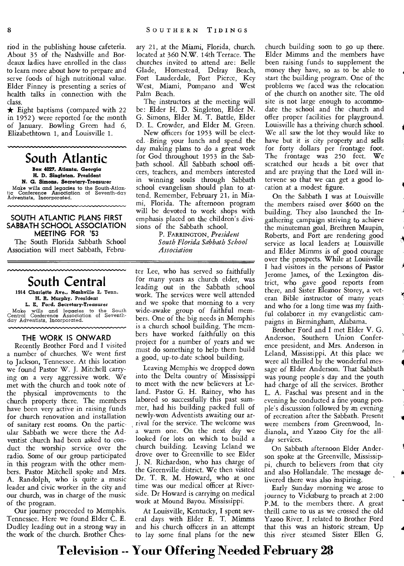riod in the publishing house cafeteria. About 35 of the Nashville and Bordeaux ladies have enrolled in the class to learn more about how to prepare and serve foods of high nutritional value. Elder Finney is presenting a series of health talks in connection with the class.

 $\star$  Eight baptisms (compared with 22 in 1952) were reported for the month of January. Bowling Green had 6, Elizabethtown 1, and Louisville 1.

**South Atlantic** 

**Box 4027, Atlanta, Georgia H. 1). Singleton, President** 

**N. G. Simons, Secretary-Treasurer**  Make wills and legacies to the South-Atlan-tic Conference Association of Seventh-day Adventists, Incorporated.

#### **SOUTH ATLANTIC PLANS FIRST SABBATH SCHOOL ASSOCIATION MEETING FOR '53**

The South Florida Sabbath School Association will meet Sabbath, Febru-

# **South Central**

**1914 Charlotte Ave., Nashville** 2, Tenn. H. R. **Murphy,** President **L. E. Ford, Secretary-Treasurer**  Make wills and legacies to the South Central Conference Association of Seventhday Adventists, Incorporated.

#### **THE WORK IS ONWARD**

Recently Brother Ford and I visited a number of churches. We went first to Jackson, Tennessee. At this location we found Pastor W. J. Mitchell carrying on a very aggressive work. We met with the church and took note of the physical improvements to the church property there. The members have been very active in raising funds for church renovation and installation of sanitary rest rooms. On the particular Sabbath we were there the Adventist church had been asked to conduct the worship service over the radio. Some of our group participated in this program with the other members. Pastor Mitchell spoke and Mrs. A. Randolph, who is quite a music leader and civic worker in the city and our church, was in charge of the music of the program.

Our journey proceeded to Memphis, Tennessee. Here we found Elder C. E. Dudley leading out in a strong way in the work of the church. Brother Chesary 21, at the Miami, Florida, church, located at 360 N.W. 14th Terrace. The churches invited to attend are: Belle Glade, Homestead, Delray Beach, Fort Lauderdale, Fort Pierce, Key West, Miami, Pompano and West Palm Beach.

The instructors at the meeting will be: Elder H. D. Singleton, Elder N. G. Simons, Elder M. T. Battle, Elder D. L. Crowder, and Elder M. Green.

New officers for 1953 will be elected. Bring your lunch and spend the day making plans to do a great work for God throughout 1953 in the Sabbath school. All Sabbath school officers, teachers, and members interested in winning souls through Sabbath school evangelism should plan to attend. Remember, February 21, in Miami, Florida. The afternoon program will be devoted to work shops with emphasis placed on the children's divisions of the Sabbath school.

P. FARRINGTON, *President South Florida Sabbath School Association* 

ter Lee, who has served so faithfully for many years as church elder, was leading out in the Sabbath school work. The services were well attended and we spoke that morning to a very wide-awake group of faithful members. One of the big needs in Memphis is a church school building. The members have worked faithfully on this project for a number of years and we must do something to help them build a good, up-to-date school building.

Leaving Memphis we dropped down into the Delta country of Mississippi to meet with the new believers at Leland. Pastor G. H. Rainey, who has labored so successfully this past summer, had his building packed full of newly-won Adventists awaiting our arrival for the service. The welcome was a warm one. On the next day we looked for lots on which to build a church building. Leaving Leland we drove over to Greenville to see Elder J. N. Richardson, who has charge of the Greenville district. We then visited Dr. T. R. M. Howard, who at one time was our medical officer at Riverside. Dr Howard is carrying on medical work at Mound Bayou, Mississippi.

At Louisville, Kentucky, I spent several days with Elder E. T. Mimms and his church officers in an attempt to lay some final plans for the new

church building soon to go up there. Elder Mimms and the members have been raising funds to supplement the money they have, so as to be able to start the building program. One of the problems we faced was the relocation of the church on another site. The old site is not large enough to accommodate the school and the church and offer proper facilities for playground. Louisville has a thriving church school. We all saw the lot they would like to have but it is city property and sells for forty dollars per frontage foot. The frontage was 250 feet. We scratched our heads a bit over that and are praying that the Lord will intervene so that we can get a good location at a modest figure.

On the Sabbath I was at Louisville the members raised over \$600 on the building. They also launched the Ingathering campaign striving to achieve the minuteman goal. Brethren Maupin, Roberts, and Fort are rendering good service as local leaders at Louisville and Elder Mimms is of good courage over the prospects. While at Louisville I had visitors in the persons of Pastor Jerome James, of the Lexington district, who gave good reports from there, and Sister Eleanor Storey, a veteran Bible instructor of many years and who for a long time was my faithful colaborer in my evangelistic campaigns in Birmingham, Alabama.

A

**1** 

I

**41** 

Brother Ford and I met Elder V. G. Anderson, Southern Union Conference president, and Mrs. Anderson in Leland, Mississippi. At this place we were all thrilled by the wonderful message of Elder Anderson. That Sabbath was young people's day and the youth had- charge of all the services. Brother L. A. Paschal was present and in the evening he conducted a fine young people's discussion followed by an evening of recreation after the Sabbath. Present were members from Greenwood, Indianola, and Yazoo City for the allday services.

On Sabbath afternoon Elder Anderson spoke at the Greenville, Mississippi, church to believers from that city and also Hollandale. The message delivered there was also inspiring.

Early Sunday morning we arose to journey to Vicksburg to preach at **2** :00 P.M. to the members there. A great thrill came to us as we crossed the old Yazoo River. I related to Brother Ford that this was an historic stream. Up this river steamed Sister Ellen G.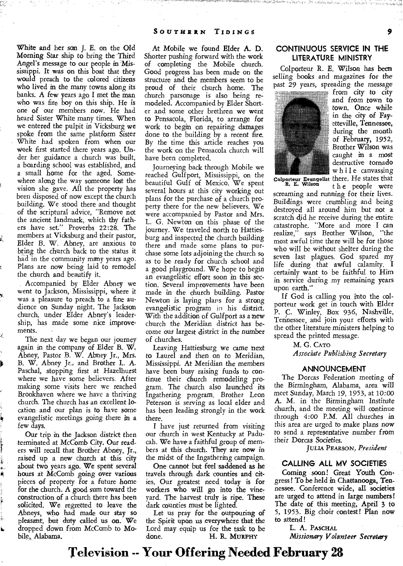White and her son J. E. on the Old *Morning* Star ship to bring the Third Angel's message to our people in 'Mississippi. It was on this boat that they would preach to the colored citizens who lived in the many towns along its banks. A few years ago I met the man who was fire boy on this ship. He is one of our members now. He had heard Sister White many times. When we entered the pulpit in Vicksburg we spoke from the same platform Sister White had spoken from when our work first started there years ago. Under her guidance a church was built, a boarding school was established, and a small home for the aged. Somewhere along the way someone lost the vision she gave. All the property has been disposed of now except the church building. We stood there and thought of the scriptural advice, "Remove not the ancient landmark, which thy fathers have set." Proverbs 22:28. The members at Vicksburg and their pastor, Elder B. W. Abney, are anxious to bring the church back to the status it had in the community many years ago. Plans are now being laid to remodel the church and beautify it.

Accompanied by Elder Abney we went to Jackson, Mississippi, where it was a pleasure to preach to a fine audience on Sunday night. The Jackson church, under Elder Abney's leadership, has made some nice improvements.

The next day we began our journey again in the company of Elder B. W. Abney, Pastor B. W. Abney Jr., Mrs. B. W. Abney Jr., and Brother L. A. Paschal, stopping first at Hazelhurst where we have some believers. After making some visits here we reached Brookhaven where we have a thriving church. The church has an excellent location and our plan is to have some evangelistic meetings *going* there in a few days.

Our trip in the Jackson district then terminated at McComb City. Our readers will recall that Brother Abney, Jr., raised up a new church at this city about two years ago. We spent several hours at McComb going over various pieces of property for a future home for the church. A good sum toward the construction of a church there has been solicited. We regretted to leave the Abneys, who had made our stay so pleasant, but duty called us on. We dropped down from McComb to Mobile, Alabama.

At Mobile we found Elder A. D. Shorter pushing forward with the work of completing the Mobile church. Good progress has been made on the structure and the members seem to be proud of their church home. The church parsonage is also being remodeled. Accompanied by Elder Shorter and some other brethren we went to Pensacola, Florida, to arrange for work to begin on repairing damages done to the building by a recent fire. By the time this article reaches you the work on the Pensacola church will have been completed.

Journeying back through Mobile we reached Gulfport, Mississippi, on the beautiful Gulf of Mexico. We spent several hours at this city working out plans for the purchase of a church property there for the new believers. We were accompanied by Pastor and Mrs. L. G. Newton on this phase of the journey. We traveled north to Hattiesburg and inspected the church building there and made some plans to purchase some lots adjoining the church so as to be ready for church school and a good playground. We hope to begin an evangelistic effort soon in this *section.* Several improvements have been made in the church building. Pastor Newton is laying plans for a strong evangelistic program *in* his district. With the addition of Gulfport as a new church the Meridian district has 'become our largest district in the number of churches.

Leaving Hattiesburg we came next to Laurel and then on to Meridian, Mississippi. At Meridian the members have been busy raising funds to continue their church remodeling program. The church also launched its Ingathering program. Brother Leon Peterson is serving as local elder and has been leading strongly in the work there.

I have just returned from visiting our church in west Kentucky at Paducah. We have a faithful group of members at this church. They are now in the midst of the Ingathering campaign.

One cannot but feel saddened as he travels through dark counties and cities. Our greatest need today is for workers who will go into the vineyard. The harvest truly is ripe. These dark counties must be lighted.

Let us pray for the outpouring of the Spirit upon us everywhere that, the Lord may equip us for the task to be done. H. R. **MURPHY** 

#### **CONTINUOUS SERVICE IN THE LITERATURE MINISTRY**

Colporteur R. E. Wilson has been selling books and magazines for the past 29 years, spreading the *message* 



from city to city and from town to town. Once while in the city of Fayetteville, Tennessee, during the month of February, 1952, Brother Wilson was caught **in** a most destructive tornado while canvassing **Colporteur Evangelist** there. He states that **R. E. Wilson** t h e people were

screaming and running for their lives. Buildings were crumbling and being destroyed all around him but not a scratch did he receive during the entire catastrophe. "More and more I can realize," says Brother Wilson, "the most awful time there will be for those who will be without shelter during the seven last plagues. God spared my life during that awful calamity. I certainly want to be faithful to Him in service during my remaining years upon earth."

If God is calling you into the colporteur work get in touch with Elder P. C. Winley, Box 936, Nashville, Tennessee, and join your efforts with the other literature ministers helping to spread the printed message.

> M. G. **CATO**  *Associate Publishing Secretary*

#### **ANNOUNCEMENT**

The Dorcas Federation *meeting* of the Birmingham, Alabama, area *will*  meet Sunday, March 19, 1953, at 10:00 A. M. in the Birmingham Institute church, and the meeting will continue through 4:00 P.M. All churches in this area are urged to make plans now to send a representative number from their Dorcas Societies.

**JULIA PEARSON,** *President* 

#### **CALLING ALL MV SOCIETIES**

Coming soon! Great Youth Congress! To be held in Chattanooga, Tennessee. Conference wide, all societies are urged to attend in large numbers! The date of this meeting, April 3 to 5, 1953. Big choir contest! Plan now to attend!

L. A. **PASCHAL** 

*Missionary Volunteer Secretary*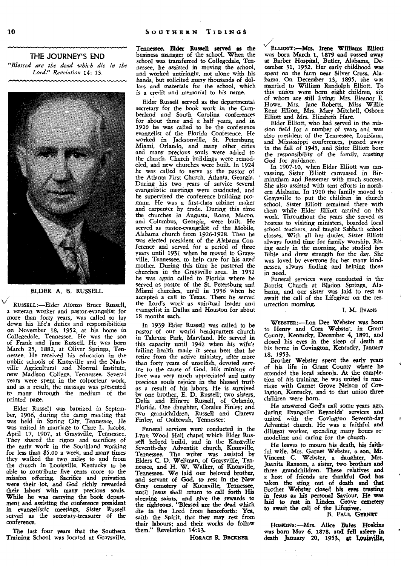**THE JOURNEY'S END**  *"Blessed are the dead which die in the Lord." Revelation* 14: 13.



#### ELDER A. B. RUSSELL

**RUSSELL:—Elder** Alonzo Bruce Russell, a veteran worker and pastor-evangelist for more than forty years, was called to lay down his life's duties and responsibilities on November 18, 1952, at his home in Collegedale, Tennessee. He was the son of Frank and Jane Russell. He was born March 25, 1882, at Oliver Springs, Tennessee. He received his education in the public schools of Knoxville and the Nashville Agricultural and Normal Institute, now Madison College, Tennessee. Several years were spent in the colporteur work, and as a result, the message was presented to many through the medium of the printed page.

Elder Russell was baptized in September, 1906, during the camp meeting that was held in Spring City, Tennessee. He was united in marriage to Clare L. Jacobs, April 17, 1907, at Graysville, Tennessee. They shared the rigors and sacrifices of the early work in the Southland working for less than \$5.00 a week, and many times they walked the two miles to and from the church in Louisville, Kentucky to be able to contribute five cents more to the mission offering. Sacrifice and privation were their lot, and God richly rewarded their labors with many precious souls. While he was carrying the book department and assisting the conference president in evangelistic meetings, Sister Russell served as the secretary-treasurer of the conference.

The last four years that the Southern Training School was located at Graysville, Tennessee, Elder Russell served as the business manager of the school. When the school was transferred to Collegedale, Tennessee, he assisted in moving the school, and worked untiringly, not alone with his hands, but solicited many thousands of dollars and materials for the school, which **is a** credit and memorial to his name.

Elder Russell served as the departmental secretary for the book work in the Cumberland and South Carolina conferences for about *three* and a half years, and in 1920 he was called to be the conference evangelist of the Florida Conference. He worked in Jacksonville, St. Petersburg, Miami, Orlando, and many other cities and many precious souls were added to the church. Church buildings were remodeled, and new churches were built. In 1924 he was called to serve as the pastor of the Atlanta First Church, Atlanta, Georgia. During his two years of service several evangelistic meetings were conducted, and he supervised the conference building program. He was a first-class cabinet maker and carpenter by trade. During this time the churches in Augusta, Rome, Macon, and Columbus, Georgia, were built. He served as pastor-evangelist of the Mobile, Alabama church from 1926-1928. Then he was elected president of the Alabama Conference and served for a period of three years until 1931 when he moved to Graysville, Tennessee, to help care for his aged mother. During this time he pastcred the churches in the Graysville area. In 1932 he was again called to Florida where he served as pastor of the St. Petersburg and Miami churches, until in 1936 when he accepted a call to Texas. There he served the Lord's work as spiritual leader and evangelist in Dallas and Houston for about 18 months each.

In 1939 Elder Russell was called to be pastor of our world headquarters church in Takcma Park, Maryland. He served in this capacity until 1942 when his wife's failing health made it seem best that he retire from the active ministry, after more than forty years of unselfish, devoted serv-ice to the cause of God. His ministry of love was very much appreciated and many Precious souls rejoice in the blessed truth as a result of his labors. He is survived by one brother, E. D. Russell; two sisters, Delia and Elinore Russell, of Orlando, Florida. One daughter, Coralee Finley; and two grandchildren, Russell and Clareva Finley, of Ooltewah, Tennessee:

Funeral services were conducted in the Lynn Wood Hall chapel which Elder Russell helped build, and in the Knoxville Seventh-day Adventist church, Knoxville, Tennessee. The writer was assisted by Elders C. D. Wellman, of Graysville, Tennessee, and H. W. Walker, of Knoxville, Tennessee. We laid our beloved brother, and servant of God, to rest in the New Gray cemetery of Knoxville, Tennessee, until Jesus shall return to call forth His sleeping saints, and give the rewards to the righteous. "Blessed are the dead which die in the Lord from henceforth: Yea, saith the Spirit, that they may rest from their labours; and their works do follow them." Revelation 14:13.

**HORACE** R. **BECKNER** 

**Etuorr:—Mrs. Irene** Williams Elliott was born March 1, 1879 and passed away at Barber Hospital, Butler, Alabama, December 31, 1952. Her early childhood was spent on the farm near Silver Cross, Alabama. On December 13, 1895, she was married to William Randolph Elliott. To this union were born eight children, six of whom are still living: Mrs. Eleanor E. Howe, Mrs. Jane Roberts, Miss Willie Rene Elliott, Mrs. Mary Mitchell, Osborn Elliott and Mrs. Elizabeth Hare.

Elder Elliott, who had served in the mission field for a number of years and was also president of the Tennessee, Louisiana, and Mississippi conferences, passed away in the fall of 1945, and Sister Elliott bore the responsibility of the family, *trusting*  God for guidance.

In 1907-10, when Elder Elliott was canvassing, Sister Elliott canvassed in Birmingham and Bessemer with much success. She also assisted with tent efforts in northern Alabama. In 1910 the family moved to Graysville to put the children in church school. Sister Elliott remained there with them while Elder Elliott carried on his work. Throughout the years she served as hostess to visiting ministers, boarded local school teachers, and taught Sabbath school classes. With all her duties, Sister Elliott always found time for family worship. Rising early in the morning, she studied her Bible and drew strength for the day. She was loved by everyone for her many kindnesses, always finding and helping those in need.

Funeral services were conducted in the Baptist Church at Bladon Springs, Alabama, and our sister was laid to rest to await the call of the Lifegiver on the resurrection morning.

#### **I. M. EVANS**

WEBsTER:—Lon Dee Webster was born to Henry and Cora Webster, in Grant County, Kentucky, December 4, 1891, and closed his eyes in the sleep of death at his home in Covington, Kentucky, January 18, 1953.

Brother Webster spent the early years of his life in Grant County where he attended the local schools. At the completion of his training, he was united in marriage with Garnet Grove Nelson of Covington, Kentucky, and to that union three children were born.

He answered God's call some years ago, during Evangelist Reynolds' services and united with the Covington Seventh-day Adventist church. He was a faithful and diligent worker, spending many hours remodeling and caring for the church.

He leaves to mourn his death, his faithful wife, Mrs. Garnet Webster, a son, Mr. Vincent C. Webster, a daughter, Mrs. Juanita Ransom, a sister, two brothers and three grandchildren. These relatives and a host of friends are thankful God has taken the sting out of death and that Brother Webster dosed his eyes trusting in Jesus as his personal Saviour. He was laid to rest in Linden Grove cemetery to await the call of the Lifegiver.

#### B. **PAUL GERNET**

HOSKINS:-Mrs. Alice Bales Hoskins *was* born May 6, 1878, and fell asleep **in**  death January 20, 1953, at Louisville,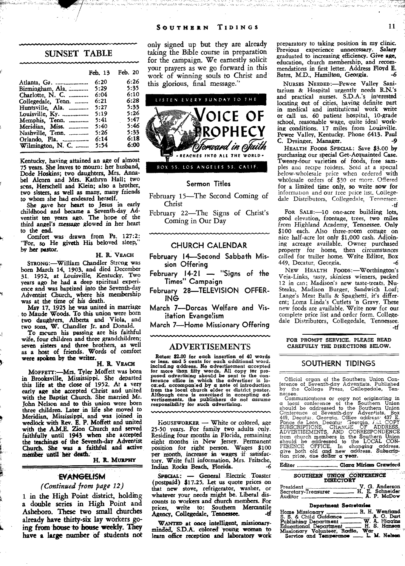#### **SUNSET TABLE**

|                            | Feb. 13 | Feb. 20 |
|----------------------------|---------|---------|
| Atlanta, Ga.               | 6:20    | 6:26    |
| Birmingham, Ala.           | 5:29    | 5:35    |
| Charlotte, N. C.           | 6:04    | 6:10    |
| Collegedale, Tenn.         | 6:21    | 6:28    |
| Huntsville. Ala.           | 5:27    | 5:33    |
| Louisville, Ky.            | 5:19    | 5:26    |
| Memphis, Tenn.             | 5:41    | 5:47    |
| Meridian, Miss.            | 5:40    | 5:46    |
| Nashville, Tenn.           | 5:26    | 5:33    |
|                            | 6:14    | 6:18    |
| Wilmington, N. C. $\ldots$ | 5:54    | 6:00    |

Kentucky, having attained an age of almost 75 years. She leaves to mourn: her husband, Dode Hoskins; two daughters, Mrs. Annabel Alcorn and Mrs. Kathryn Hall; two scns, Herschell and Klein; also a brother, two sisters, as well as many, many friends to whom she had endeared herself.

She gave her heart to Jesus in early childhood and became a Seventh-day Ad-ventist ten years ago. The hope of the third *angel's message glowed* in her heart to the end.

Comfort was drawn from Ps. 127:2: "For, so He giveth His beloved sleep, *by* her pastor.

#### H. R. **VEACH**

**STRONG:—William** Chandler Strong was born March 14, 1903. and died December 31. 1952, at Louisville, Kentucky. Two years ago he had a deep spiritual experience and was baptized into the Seventh-day Adventist Church, where his membership was at the time of his death.

May 17, 1925 he was united in marriage to Maude Woods. To this union were born two daughters, Alberta and Viola, and two sons, W. Chandler Jr. and Donald.

To mourn his passing are his faithful wife, four children and three grandchildren; seven sisters and three brothers, as well as a host of friends. Words of comfort were spoken by the writer.

#### H. R. VEACH

**MOFFETT:—Mrs.** Tyler Moffett was born in Brooksville, Mississippi. She departed this life at the close of 1952. At a very early age she accepted Christ and united with the Baptist Church. She married Mr. John Nelson and to this union were born three children. Later in life she moved to Meridian, Mississippi, and was joined in wedlock with Rev. E. P. Moffett and united with the A.M.E. Zion Church and served faithfully until 1943 when she accepted the teachings of the Seventh-day Adventist Church. She was a faithful and active meniber until her death.

H. R. **MURPHY** 

#### **EVANGELISM**

#### *(Continued from page 12)*

1 in the High Point district, holding a double series in High Point and Asheboro. These two small churches already have thirty-six lay workers going from house to house weekly. They have a large number of students not only signed up but they are already taking the Bible course in preparation for the campaign. We earnestly solicit your prayers as we go forward in this work of winning souls to Christ and this glorious, final message.'



#### Sermon Titles

February 15—The Second Coming of Christ

February 22—The Signs of Christ's Coming in Our Day

#### **CHURCH CALENDAR**

- **February 14—Second Sabbath Mission Offering**
- **February 14-21 "Signs of the Times" Campaign**
- **February 28—TELEVISION OFFER-ING**
- **March 7—Dorcas Welfare and Visitation Evangelism**

**March 7—Home Missionary Offering** 

#### ADVERTISEMENTS

**Rates: \$2.00 for each insertion of 40 words or less, and 5 cents for each additional word,**  including address. No advertisement accepted<br>for more than fifty words. All copy for procedure posed advertising should be sent to the con-<br>ference office in which the advertiser is lo-<br>cated, accomparised by a note of int

**liOUSEWORKER —** White or colored, age 25-50 years. For family two adults only. Residing four months *in* Florida, remaining eight months in New Jersey. Permanent position for right person. Wages \$100 per month, increase in wages if satisfactory. Write full information, Mrs. Fritsche, Indian Rocks Beach, Florida.

SPECIAL: - General Electric Toaster (postpaid) \$17.25. Let us quote prices on that new stove, refrigerator, washer, or whatever your needs might be. Liberal discounts to workers and church members. For prices, write to: Southern Mercantile<br>Agency, Collegedale, Tennessee. -- tf

**WANTED** at once intelligent, missionaryminded, S.D.A. colored young woman to learn office reception and laboratory work preparatory to taking position in my clinic. Previous experience unnecessary. Salary graduated to increasing efficiency. Give age, education, church membership, and recommendations in first letter. Address Floyd E. Bates, M.D., Hamilton, Georgia. -6

**NURSES NEEDED:—Pewee** Valley Sanitarium & Hospital urgently needs R.N.'s and practical nurses. S.D.A.'s interested locating out of cities, having definite part in medical and institutional work write or call us. 60 patient hospital, 10-grade school, reasonable wage, quite ideal working conditions. 17 miles from Louisville. Pewee Valley, Kentucky. Phone 6413. Paul C. Dysinger, Manager. *-9* 

**HEALTH FOODS SPECIAL: Save** \$3.00 by purchasing our special Get-Acquainted Case. Twenty-four varieties of foods, free samples ana recipe folders. Sold at a special below-wholesale price when ordered with wholesale orders of \$30 or more. Offered for **a** limited time only, so write now for information and our tree price list. Collegedale Distributors, Collegedale, Tennessee. -tf

FOR SALE:-10 one-acre building lots, good elevation, frontage, trees, two miles *from* Highland Academy, *Tennessee.* Only \$100 each. Also three-room cottage on nice half-acre lot only \$1,000 cash. Adjoining acreage available. Owner purchased property for home, then circumstances called for trailer home. Write Editor, Box<br>449. Decatur. Georgia. ... 449, Decatur, Georgia.

NEW HEALTH FOODS:-Worthington's Veja-Links, tasty, skinless wieners, packed 12 in can; Madison's new taste-treats, Nu-Steaks, Madison Burger, Sandwich Loaf; Lange's Meat Balls & Spaghetti, it's different; Loma Linda's Cutlets 'n Gravy. These new foods are available. Write now for our complete price list and order form. Collegedale Distributors, Collegedale, Tennessee. -tf

**FOR PROMPT SERVICE, PLEASE READ CAREFULLY THE DIRECTIONS BELOW.** 

#### **SOUTHERN TIDINGS**

Official organ of the Southern Union Con-ference of Seventh-day Adventists. Published by the College Press, Collegedale, Ten-

Communications or copy not originating in Communications or copy not originating and local conference of the Southern Union Conference of Seventh-day Adventists, Box 449, Decatur Georgia. And the Adventists, Box 449, Decat

#### **Editor ....... - ...... Clara Miria® Crawford**

# **SOUTHERN UNION CONFERENCE**

| Auditor <u></u> A. P. McDow |  |  |
|-----------------------------|--|--|

#### **Department Secretaries**

**Home Missionary ."\_\_\_\_ .... \_ R. H.** Wenticmd S. S. & **Child Guidance Publishing Department**  Educational **Department H S Hanson Missionary Volunteer, Radio, War Service and Temper:moo — L. M. Nelson W A 0.** Dart **A Higgins**